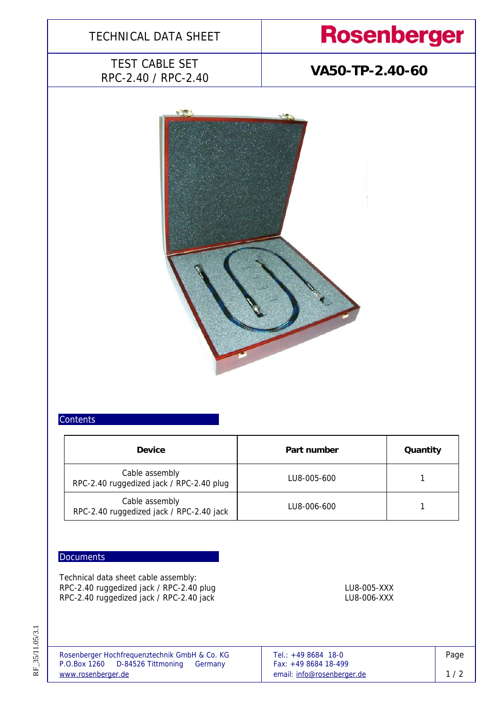

### **Contents**

| <b>Device</b>                                              | Part number | Quantity |  |
|------------------------------------------------------------|-------------|----------|--|
| Cable assembly<br>RPC-2.40 ruggedized jack / RPC-2.40 plug | LU8-005-600 |          |  |
| Cable assembly<br>RPC-2.40 ruggedized jack / RPC-2.40 jack | LU8-006-600 |          |  |

### **Documents**

Technical data sheet cable assembly: RPC-2.40 ruggedized jack / RPC-2.40 plug LU8-005-XXX LU8-005-XXX RPC-2.40 ruggedized jack / RPC-2.40 jack LU8-006-XXX LU8-006-XXX

| Rosenberger Hochfrequenztechnik GmbH & Co. KG | Tel.: $+498684$ 18-0       | Page |
|-----------------------------------------------|----------------------------|------|
| P.O.Box 1260 D-84526 Tittmoning<br>Germany    | Fax: $+49868418-499$       |      |
| www.rosenberger.de                            | email: info@rosenberger.de | 1/2  |